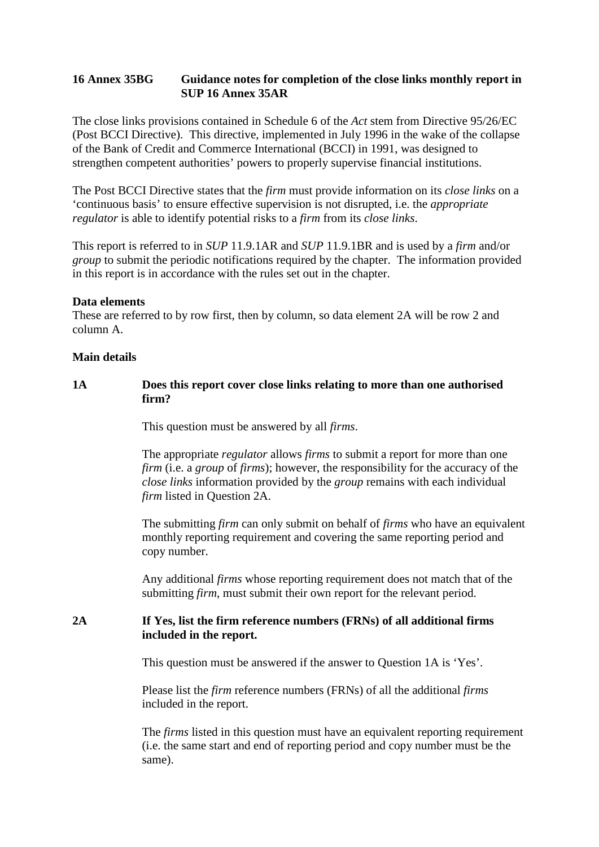## **16 Annex 35BG Guidance notes for completion of the close links monthly report in SUP 16 Annex 35AR**

The close links provisions contained in Schedule 6 of the *Act* stem from Directive 95/26/EC (Post BCCI Directive). This directive, implemented in July 1996 in the wake of the collapse of the Bank of Credit and Commerce International (BCCI) in 1991, was designed to strengthen competent authorities' powers to properly supervise financial institutions.

The Post BCCI Directive states that the *firm* must provide information on its *close links* on a 'continuous basis' to ensure effective supervision is not disrupted, i.e. the *appropriate regulator* is able to identify potential risks to a *firm* from its *close links*.

This report is referred to in *SUP* 11.9.1AR and *SUP* 11.9.1BR and is used by a *firm* and/or *group* to submit the periodic notifications required by the chapter. The information provided in this report is in accordance with the rules set out in the chapter.

#### **Data elements**

These are referred to by row first, then by column, so data element 2A will be row 2 and column A.

### **Main details**

## **1A Does this report cover close links relating to more than one authorised firm?**

This question must be answered by all *firms*.

The appropriate *regulator* allows *firms* to submit a report for more than one *firm* (i.e. a *group* of *firms*); however, the responsibility for the accuracy of the *close links* information provided by the *group* remains with each individual *firm* listed in Question 2A.

The submitting *firm* can only submit on behalf of *firms* who have an equivalent monthly reporting requirement and covering the same reporting period and copy number.

Any additional *firms* whose reporting requirement does not match that of the submitting *firm*, must submit their own report for the relevant period.

## **2A If Yes, list the firm reference numbers (FRNs) of all additional firms included in the report.**

This question must be answered if the answer to Question 1A is 'Yes'.

Please list the *firm* reference numbers (FRNs) of all the additional *firms* included in the report.

The *firms* listed in this question must have an equivalent reporting requirement (i.e. the same start and end of reporting period and copy number must be the same).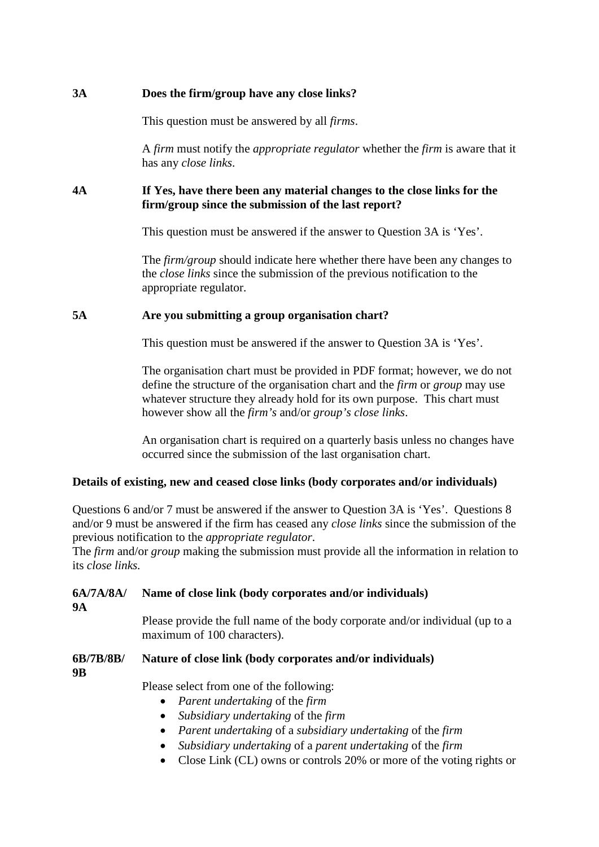# **3A Does the firm/group have any close links?**

This question must be answered by all *firms*.

A *firm* must notify the *appropriate regulator* whether the *firm* is aware that it has any *close links*.

## **4A If Yes, have there been any material changes to the close links for the firm/group since the submission of the last report?**

This question must be answered if the answer to Question 3A is 'Yes'.

The *firm/group* should indicate here whether there have been any changes to the *close links* since the submission of the previous notification to the appropriate regulator.

# **5A Are you submitting a group organisation chart?**

This question must be answered if the answer to Question 3A is 'Yes'.

The organisation chart must be provided in PDF format; however, we do not define the structure of the organisation chart and the *firm* or *group* may use whatever structure they already hold for its own purpose. This chart must however show all the *firm's* and/or *group's close links*.

An organisation chart is required on a quarterly basis unless no changes have occurred since the submission of the last organisation chart.

# **Details of existing, new and ceased close links (body corporates and/or individuals)**

Questions 6 and/or 7 must be answered if the answer to Question 3A is 'Yes'. Questions 8 and/or 9 must be answered if the firm has ceased any *close links* since the submission of the previous notification to the *appropriate regulator*.

The *firm* and/or *group* making the submission must provide all the information in relation to its *close links.*

#### **6A/7A/8A/ 9A Name of close link (body corporates and/or individuals)**

Please provide the full name of the body corporate and/or individual (up to a maximum of 100 characters).

#### **6B/7B/8B/ Nature of close link (body corporates and/or individuals)**

**9B**

Please select from one of the following:

- *Parent undertaking* of the *firm*
- *Subsidiary undertaking* of the *firm*
- *Parent undertaking* of a *subsidiary undertaking* of the *firm*
- *Subsidiary undertaking* of a *parent undertaking* of the *firm*
- Close Link (CL) owns or controls 20% or more of the voting rights or